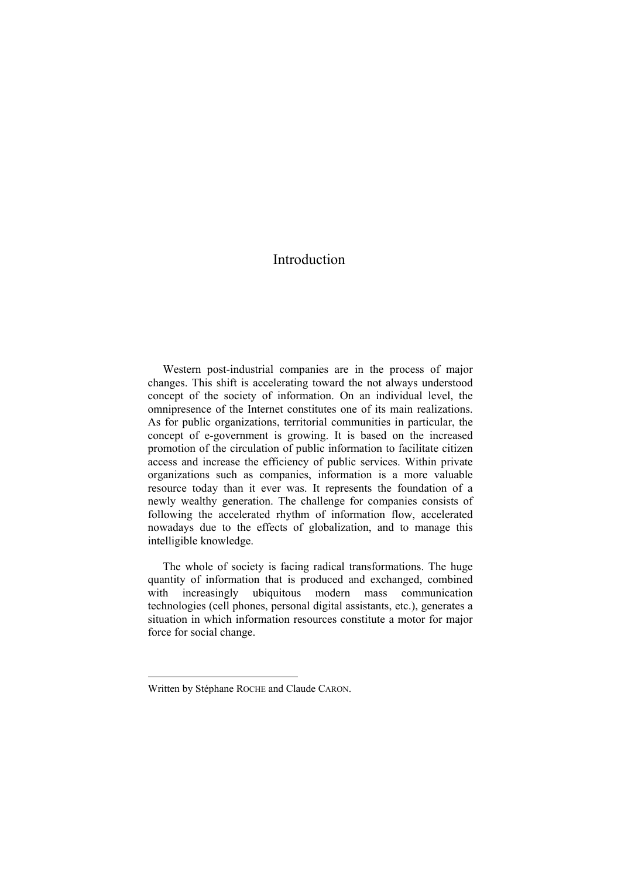## Introduction

Western post-industrial companies are in the process of major changes. This shift is accelerating toward the not always understood concept of the society of information. On an individual level, the omnipresence of the Internet constitutes one of its main realizations. As for public organizations, territorial communities in particular, the concept of e-government is growing. It is based on the increased promotion of the circulation of public information to facilitate citizen access and increase the efficiency of public services. Within private organizations such as companies, information is a more valuable resource today than it ever was. It represents the foundation of a newly wealthy generation. The challenge for companies consists of following the accelerated rhythm of information flow, accelerated nowadays due to the effects of globalization, and to manage this intelligible knowledge.

The whole of society is facing radical transformations. The huge quantity of information that is produced and exchanged, combined with increasingly ubiquitous modern mass communication technologies (cell phones, personal digital assistants, etc.), generates a situation in which information resources constitute a motor for major force for social change.

1

Written by Stéphane ROCHE and Claude CARON.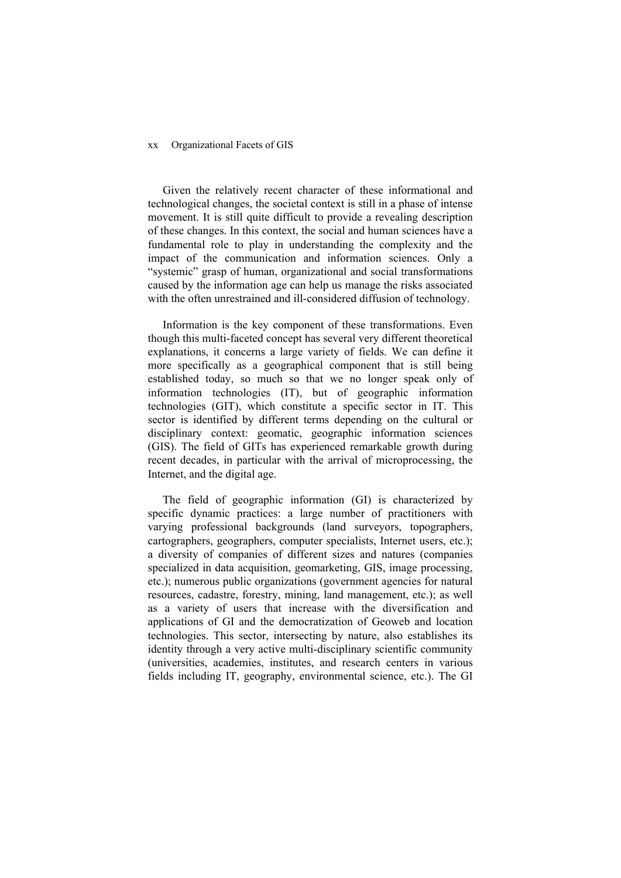## xx Organizational Facets of GIS

Given the relatively recent character of these informational and technological changes, the societal context is still in a phase of intense movement. It is still quite difficult to provide a revealing description of these changes. In this context, the social and human sciences have a fundamental role to play in understanding the complexity and the impact of the communication and information sciences. Only a "systemic" grasp of human, organizational and social transformations caused by the information age can help us manage the risks associated with the often unrestrained and ill-considered diffusion of technology.

Information is the key component of these transformations. Even though this multi-faceted concept has several very different theoretical explanations, it concerns a large variety of fields. We can define it more specifically as a geographical component that is still being established today, so much so that we no longer speak only of information technologies (IT), but of geographic information technologies (GIT), which constitute a specific sector in IT. This sector is identified by different terms depending on the cultural or disciplinary context: geomatic, geographic information sciences (GIS). The field of GITs has experienced remarkable growth during recent decades, in particular with the arrival of microprocessing, the Internet, and the digital age.

The field of geographic information (GI) is characterized by specific dynamic practices: a large number of practitioners with varying professional backgrounds (land surveyors, topographers, cartographers, geographers, computer specialists, Internet users, etc.); a diversity of companies of different sizes and natures (companies specialized in data acquisition, geomarketing, GIS, image processing, etc.); numerous public organizations (government agencies for natural resources, cadastre, forestry, mining, land management, etc.); as well as a variety of users that increase with the diversification and applications of GI and the democratization of Geoweb and location technologies. This sector, intersecting by nature, also establishes its identity through a very active multi-disciplinary scientific community (universities, academies, institutes, and research centers in various fields including IT, geography, environmental science, etc.). The GI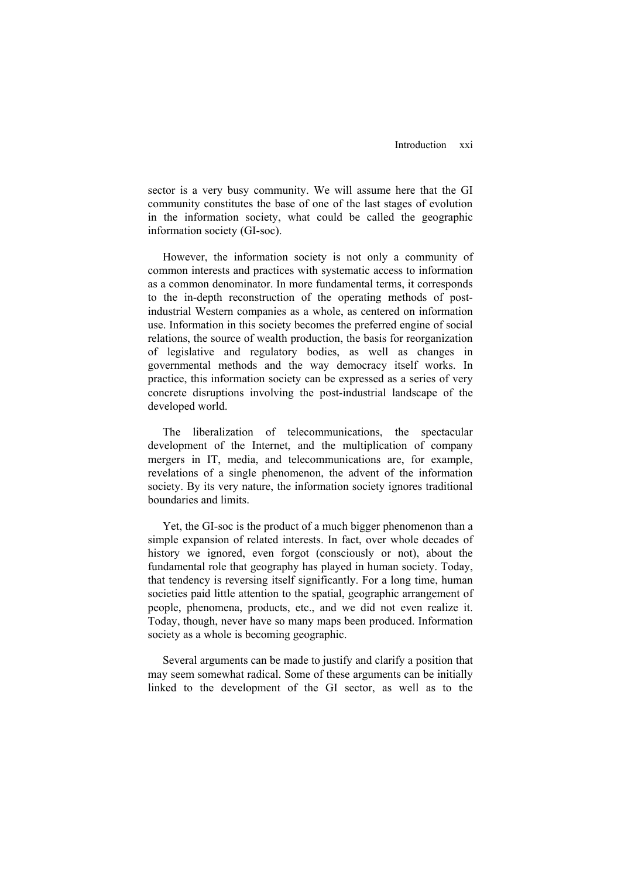sector is a very busy community. We will assume here that the GI community constitutes the base of one of the last stages of evolution in the information society, what could be called the geographic information society (GI-soc).

However, the information society is not only a community of common interests and practices with systematic access to information as a common denominator. In more fundamental terms, it corresponds to the in-depth reconstruction of the operating methods of postindustrial Western companies as a whole, as centered on information use. Information in this society becomes the preferred engine of social relations, the source of wealth production, the basis for reorganization of legislative and regulatory bodies, as well as changes in governmental methods and the way democracy itself works. In practice, this information society can be expressed as a series of very concrete disruptions involving the post-industrial landscape of the developed world.

The liberalization of telecommunications, the spectacular development of the Internet, and the multiplication of company mergers in IT, media, and telecommunications are, for example, revelations of a single phenomenon, the advent of the information society. By its very nature, the information society ignores traditional boundaries and limits.

Yet, the GI-soc is the product of a much bigger phenomenon than a simple expansion of related interests. In fact, over whole decades of history we ignored, even forgot (consciously or not), about the fundamental role that geography has played in human society. Today, that tendency is reversing itself significantly. For a long time, human societies paid little attention to the spatial, geographic arrangement of people, phenomena, products, etc., and we did not even realize it. Today, though, never have so many maps been produced. Information society as a whole is becoming geographic.

Several arguments can be made to justify and clarify a position that may seem somewhat radical. Some of these arguments can be initially linked to the development of the GI sector, as well as to the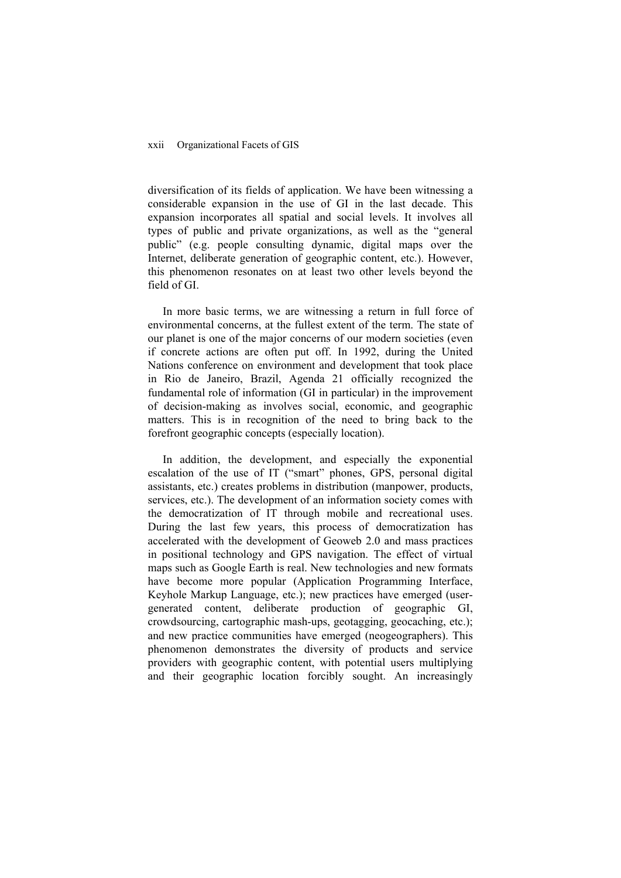## xxii Organizational Facets of GIS

diversification of its fields of application. We have been witnessing a considerable expansion in the use of GI in the last decade. This expansion incorporates all spatial and social levels. It involves all types of public and private organizations, as well as the "general public" (e.g. people consulting dynamic, digital maps over the Internet, deliberate generation of geographic content, etc.). However, this phenomenon resonates on at least two other levels beyond the field of GI.

In more basic terms, we are witnessing a return in full force of environmental concerns, at the fullest extent of the term. The state of our planet is one of the major concerns of our modern societies (even if concrete actions are often put off. In 1992, during the United Nations conference on environment and development that took place in Rio de Janeiro, Brazil, Agenda 21 officially recognized the fundamental role of information (GI in particular) in the improvement of decision-making as involves social, economic, and geographic matters. This is in recognition of the need to bring back to the forefront geographic concepts (especially location).

In addition, the development, and especially the exponential escalation of the use of IT ("smart" phones, GPS, personal digital assistants, etc.) creates problems in distribution (manpower, products, services, etc.). The development of an information society comes with the democratization of IT through mobile and recreational uses. During the last few years, this process of democratization has accelerated with the development of Geoweb 2.0 and mass practices in positional technology and GPS navigation. The effect of virtual maps such as Google Earth is real. New technologies and new formats have become more popular (Application Programming Interface, Keyhole Markup Language, etc.); new practices have emerged (usergenerated content, deliberate production of geographic GI, crowdsourcing, cartographic mash-ups, geotagging, geocaching, etc.); and new practice communities have emerged (neogeographers). This phenomenon demonstrates the diversity of products and service providers with geographic content, with potential users multiplying and their geographic location forcibly sought. An increasingly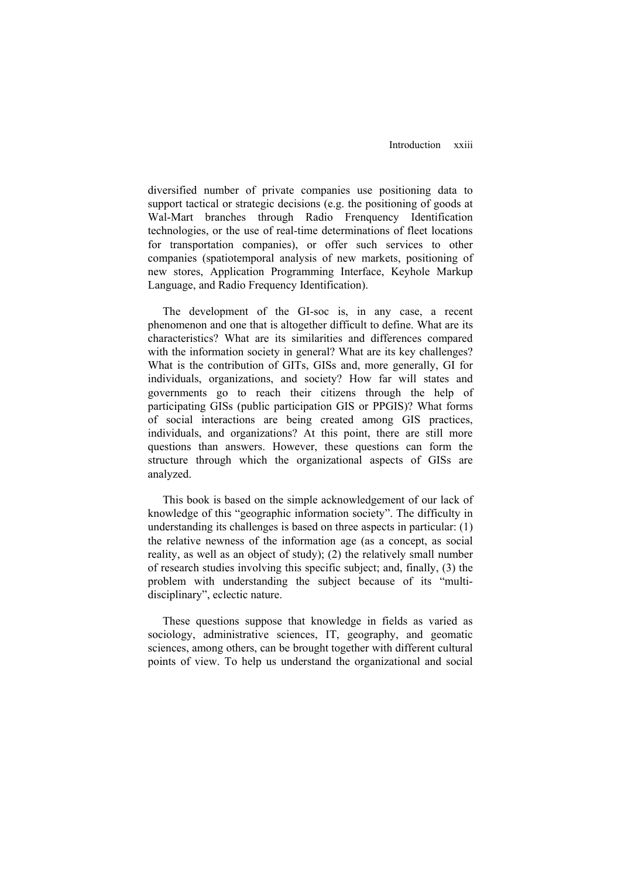diversified number of private companies use positioning data to support tactical or strategic decisions (e.g. the positioning of goods at Wal-Mart branches through Radio Frenquency Identification technologies, or the use of real-time determinations of fleet locations for transportation companies), or offer such services to other companies (spatiotemporal analysis of new markets, positioning of new stores, Application Programming Interface, Keyhole Markup Language, and Radio Frequency Identification).

The development of the GI-soc is, in any case, a recent phenomenon and one that is altogether difficult to define. What are its characteristics? What are its similarities and differences compared with the information society in general? What are its key challenges? What is the contribution of GITs, GISs and, more generally, GI for individuals, organizations, and society? How far will states and governments go to reach their citizens through the help of participating GISs (public participation GIS or PPGIS)? What forms of social interactions are being created among GIS practices, individuals, and organizations? At this point, there are still more questions than answers. However, these questions can form the structure through which the organizational aspects of GISs are analyzed.

This book is based on the simple acknowledgement of our lack of knowledge of this "geographic information society". The difficulty in understanding its challenges is based on three aspects in particular: (1) the relative newness of the information age (as a concept, as social reality, as well as an object of study); (2) the relatively small number of research studies involving this specific subject; and, finally, (3) the problem with understanding the subject because of its "multidisciplinary", eclectic nature.

These questions suppose that knowledge in fields as varied as sociology, administrative sciences, IT, geography, and geomatic sciences, among others, can be brought together with different cultural points of view. To help us understand the organizational and social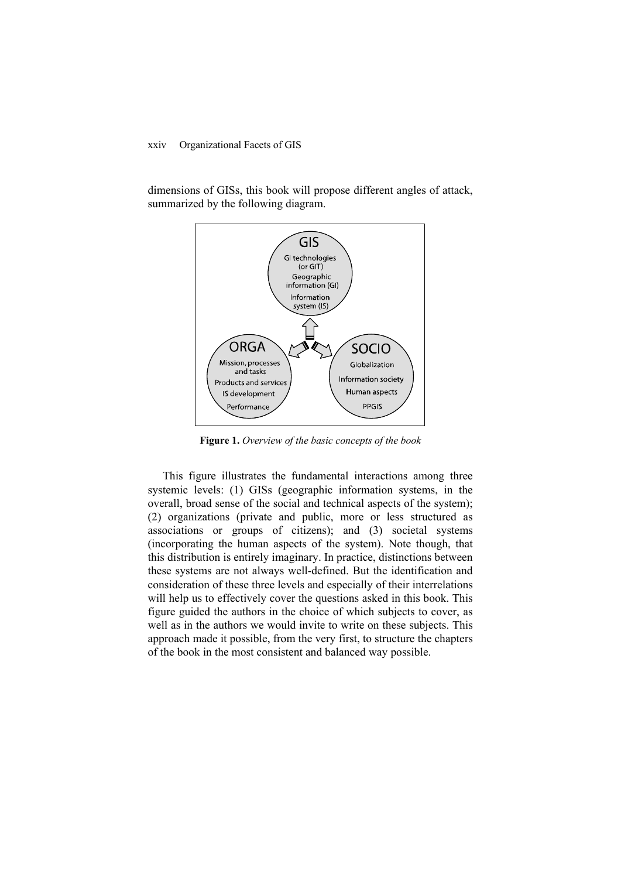## xxiv Organizational Facets of GIS

dimensions of GISs, this book will propose different angles of attack, summarized by the following diagram.



**Figure 1.** *Overview of the basic concepts of the book*

This figure illustrates the fundamental interactions among three systemic levels: (1) GISs (geographic information systems, in the overall, broad sense of the social and technical aspects of the system); (2) organizations (private and public, more or less structured as associations or groups of citizens); and (3) societal systems (incorporating the human aspects of the system). Note though, that this distribution is entirely imaginary. In practice, distinctions between these systems are not always well-defined. But the identification and consideration of these three levels and especially of their interrelations will help us to effectively cover the questions asked in this book. This figure guided the authors in the choice of which subjects to cover, as well as in the authors we would invite to write on these subjects. This approach made it possible, from the very first, to structure the chapters of the book in the most consistent and balanced way possible.